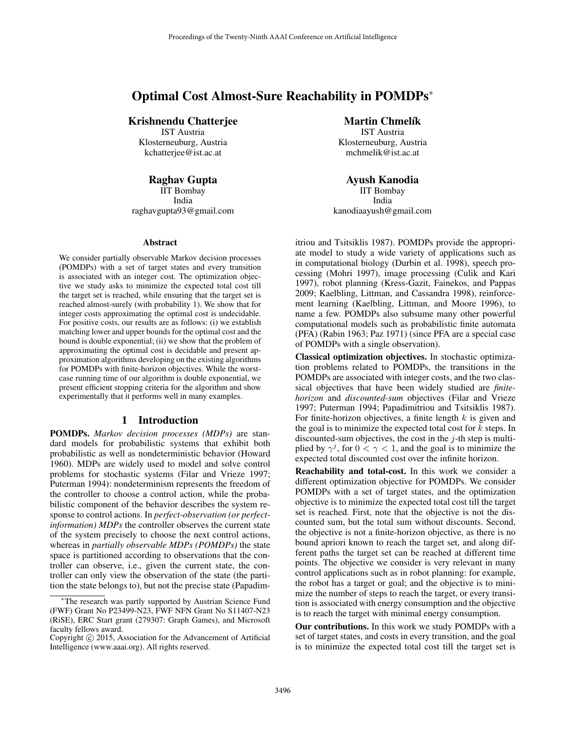# Optimal Cost Almost-Sure Reachability in POMDPs<sup>∗</sup>

# Krishnendu Chatterjee

IST Austria Klosterneuburg, Austria kchatterjee@ist.ac.at

# Raghav Gupta

IIT Bombay India raghavgupta93@gmail.com

#### **Abstract**

We consider partially observable Markov decision processes (POMDPs) with a set of target states and every transition is associated with an integer cost. The optimization objective we study asks to minimize the expected total cost till the target set is reached, while ensuring that the target set is reached almost-surely (with probability 1). We show that for integer costs approximating the optimal cost is undecidable. For positive costs, our results are as follows: (i) we establish matching lower and upper bounds for the optimal cost and the bound is double exponential; (ii) we show that the problem of approximating the optimal cost is decidable and present approximation algorithms developing on the existing algorithms for POMDPs with finite-horizon objectives. While the worstcase running time of our algorithm is double exponential, we present efficient stopping criteria for the algorithm and show experimentally that it performs well in many examples.

#### 1 Introduction

POMDPs. *Markov decision processes (MDPs)* are standard models for probabilistic systems that exhibit both probabilistic as well as nondeterministic behavior (Howard 1960). MDPs are widely used to model and solve control problems for stochastic systems (Filar and Vrieze 1997; Puterman 1994): nondeterminism represents the freedom of the controller to choose a control action, while the probabilistic component of the behavior describes the system response to control actions. In *perfect-observation (or perfectinformation) MDPs* the controller observes the current state of the system precisely to choose the next control actions, whereas in *partially observable MDPs (POMDPs)* the state space is partitioned according to observations that the controller can observe, i.e., given the current state, the controller can only view the observation of the state (the partition the state belongs to), but not the precise state (Papadim**Martin Chmelík** IST Austria

Klosterneuburg, Austria mchmelik@ist.ac.at

Ayush Kanodia IIT Bombay India kanodiaayush@gmail.com

itriou and Tsitsiklis 1987). POMDPs provide the appropriate model to study a wide variety of applications such as in computational biology (Durbin et al. 1998), speech processing (Mohri 1997), image processing (Culik and Kari 1997), robot planning (Kress-Gazit, Fainekos, and Pappas 2009; Kaelbling, Littman, and Cassandra 1998), reinforcement learning (Kaelbling, Littman, and Moore 1996), to name a few. POMDPs also subsume many other powerful computational models such as probabilistic finite automata (PFA) (Rabin 1963; Paz 1971) (since PFA are a special case of POMDPs with a single observation).

Classical optimization objectives. In stochastic optimization problems related to POMDPs, the transitions in the POMDPs are associated with integer costs, and the two classical objectives that have been widely studied are *finitehorizon* and *discounted-sum* objectives (Filar and Vrieze 1997; Puterman 1994; Papadimitriou and Tsitsiklis 1987). For finite-horizon objectives, a finite length  $k$  is given and the goal is to minimize the expected total cost for  $k$  steps. In discounted-sum objectives, the cost in the  $j$ -th step is multiplied by  $\gamma^{j}$ , for  $0 < \gamma < 1$ , and the goal is to minimize the expected total discounted cost over the infinite horizon.

Reachability and total-cost. In this work we consider a different optimization objective for POMDPs. We consider POMDPs with a set of target states, and the optimization objective is to minimize the expected total cost till the target set is reached. First, note that the objective is not the discounted sum, but the total sum without discounts. Second, the objective is not a finite-horizon objective, as there is no bound apriori known to reach the target set, and along different paths the target set can be reached at different time points. The objective we consider is very relevant in many control applications such as in robot planning: for example, the robot has a target or goal; and the objective is to minimize the number of steps to reach the target, or every transition is associated with energy consumption and the objective is to reach the target with minimal energy consumption.

Our contributions. In this work we study POMDPs with a set of target states, and costs in every transition, and the goal is to minimize the expected total cost till the target set is

<sup>∗</sup>The research was partly supported by Austrian Science Fund (FWF) Grant No P23499-N23, FWF NFN Grant No S11407-N23 (RiSE), ERC Start grant (279307: Graph Games), and Microsoft faculty fellows award.

Copyright © 2015, Association for the Advancement of Artificial Intelligence (www.aaai.org). All rights reserved.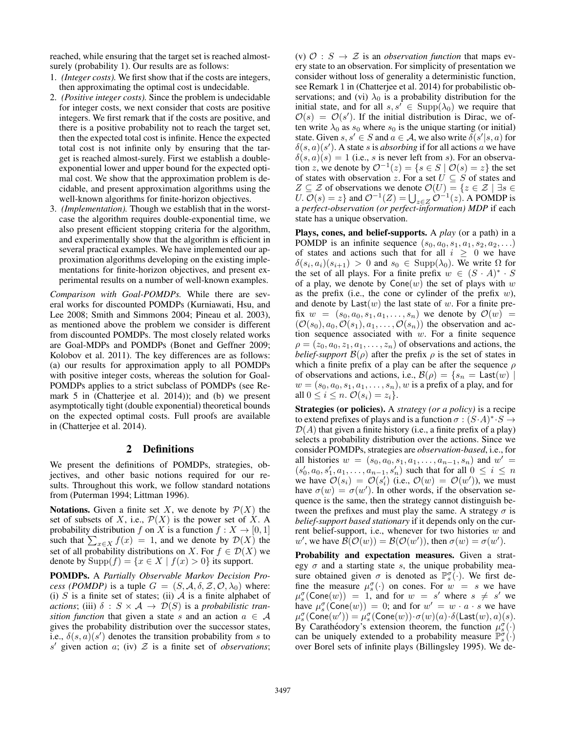reached, while ensuring that the target set is reached almostsurely (probability 1). Our results are as follows:

- 1. *(Integer costs).* We first show that if the costs are integers, then approximating the optimal cost is undecidable.
- 2. *(Positive integer costs).* Since the problem is undecidable for integer costs, we next consider that costs are positive integers. We first remark that if the costs are positive, and there is a positive probability not to reach the target set, then the expected total cost is infinite. Hence the expected total cost is not infinite only by ensuring that the target is reached almost-surely. First we establish a doubleexponential lower and upper bound for the expected optimal cost. We show that the approximation problem is decidable, and present approximation algorithms using the well-known algorithms for finite-horizon objectives.
- 3. *(Implementation).* Though we establish that in the worstcase the algorithm requires double-exponential time, we also present efficient stopping criteria for the algorithm, and experimentally show that the algorithm is efficient in several practical examples. We have implemented our approximation algorithms developing on the existing implementations for finite-horizon objectives, and present experimental results on a number of well-known examples.

*Comparison with Goal-POMDPs.* While there are several works for discounted POMDPs (Kurniawati, Hsu, and Lee 2008; Smith and Simmons 2004; Pineau et al. 2003), as mentioned above the problem we consider is different from discounted POMDPs. The most closely related works are Goal-MDPs and POMDPs (Bonet and Geffner 2009; Kolobov et al. 2011). The key differences are as follows: (a) our results for approximation apply to all POMDPs with positive integer costs, whereas the solution for Goal-POMDPs applies to a strict subclass of POMDPs (see Remark 5 in (Chatterjee et al. 2014)); and (b) we present asymptotically tight (double exponential) theoretical bounds on the expected optimal costs. Full proofs are available in (Chatterjee et al. 2014).

#### 2 Definitions

We present the definitions of POMDPs, strategies, objectives, and other basic notions required for our results. Throughout this work, we follow standard notations from (Puterman 1994; Littman 1996).

**Notations.** Given a finite set X, we denote by  $\mathcal{P}(X)$  the set of subsets of X, i.e.,  $\mathcal{P}(X)$  is the power set of X. A probability distribution f on X is a function  $f: X \to [0, 1]$ such that  $\sum_{x \in X} f(x) = 1$ , and we denote by  $\mathcal{D}(X)$  the set of all probability distributions on X. For  $f \in \mathcal{D}(X)$  we denote by  $\text{Supp}(f) = \{x \in X \mid f(x) > 0\}$  its support.

POMDPs. A *Partially Observable Markov Decision Process (POMDP)* is a tuple  $G = (S, A, \delta, Z, \mathcal{O}, \lambda_0)$  where: (i) S is a finite set of states; (ii)  $A$  is a finite alphabet of *actions*; (iii)  $\delta$  :  $S \times A \rightarrow \mathcal{D}(S)$  is a *probabilistic transition function* that given a state s and an action  $a \in A$ gives the probability distribution over the successor states, i.e.,  $\delta(s, a)(s')$  denotes the transition probability from s to  $s'$  given action  $a$ ; (iv)  $Z$  is a finite set of *observations*;

(v)  $\mathcal{O}: S \to \mathcal{Z}$  is an *observation function* that maps every state to an observation. For simplicity of presentation we consider without loss of generality a deterministic function, see Remark 1 in (Chatterjee et al. 2014) for probabilistic observations; and (vi)  $\lambda_0$  is a probability distribution for the initial state, and for all  $s, s' \in \text{Supp}(\lambda_0)$  we require that  $\mathcal{O}(s) = \mathcal{O}(s')$ . If the initial distribution is Dirac, we often write  $\lambda_0$  as  $s_0$  where  $s_0$  is the unique starting (or initial) state. Given  $s, s' \in S$  and  $a \in A$ , we also write  $\delta(s'|s, a)$  for  $\delta(s, a)(s')$ . A state s is *absorbing* if for all actions a we have  $\delta(s, a)(s) = 1$  (i.e., s is never left from s). For an observation z, we denote by  $\mathcal{O}^{-1}(z) = \{ s \in S \mid \mathcal{O}(s) = z \}$  the set of states with observation z. For a set  $U \subseteq S$  of states and  $Z \subseteq \mathcal{Z}$  of observations we denote  $\mathcal{O}(U) = \{z \in \mathcal{Z} \mid \exists s \in \mathcal{Z} \mid \exists s \in \mathcal{Z} \mid \exists s \in \mathcal{Z} \mid \exists s \in \mathcal{Z} \mid \exists s \in \mathcal{Z} \mid \exists s \in \mathcal{Z} \mid \exists s \in \mathcal{Z} \mid \exists s \in \mathcal{Z} \mid \exists s \in \mathcal{Z} \mid \exists s \in \mathcal{Z} \mid \exists s \in \mathcal{Z} \mid \exists s \in \mathcal{Z} \mid \exists s \$ U.  $\mathcal{O}(s) = z$  and  $\mathcal{O}^{-1}(Z) = \bigcup_{z \in Z} \mathcal{O}^{-1}(z)$ . A POMDP is a *perfect-observation (or perfect-information) MDP* if each state has a unique observation.

Plays, cones, and belief-supports. A *play* (or a path) in a POMDP is an infinite sequence  $(s_0, a_0, s_1, a_1, s_2, a_2, \ldots)$ of states and actions such that for all  $i \geq 0$  we have  $\delta(s_i, a_i)(s_{i+1}) > 0$  and  $s_0 \in \text{Supp}(\lambda_0)$ . We write  $\Omega$  for the set of all plays. For a finite prefix  $w \in (S \cdot A)^* \cdot S$ of a play, we denote by  $Cone(w)$  the set of plays with w as the prefix (i.e., the cone or cylinder of the prefix  $w$ ), and denote by  $Last(w)$  the last state of w. For a finite prefix  $w = (s_0, a_0, s_1, a_1, \ldots, s_n)$  we denote by  $\mathcal{O}(w) =$  $(\mathcal{O}(s_0), a_0, \mathcal{O}(s_1), a_1, \ldots, \mathcal{O}(s_n))$  the observation and action sequence associated with  $w$ . For a finite sequence  $\rho = (z_0, a_0, z_1, a_1, \dots, z_n)$  of observations and actions, the *belief-support*  $\mathcal{B}(\rho)$  after the prefix  $\rho$  is the set of states in which a finite prefix of a play can be after the sequence  $\rho$ of observations and actions, i.e.,  $\mathcal{B}(\rho) = \{s_n = \text{Last}(w) \mid$  $w = (s_0, a_0, s_1, a_1, \dots, s_n), w$  is a prefix of a play, and for all  $0 \leq i \leq n$ .  $\mathcal{O}(s_i) = z_i$ .

Strategies (or policies). A *strategy (or a policy)* is a recipe to extend prefixes of plays and is a function  $\sigma : (S \cdot A)^* \cdot S \to$  $\mathcal{D}(A)$  that given a finite history (i.e., a finite prefix of a play) selects a probability distribution over the actions. Since we consider POMDPs, strategies are *observation-based*, i.e., for all histories  $w = (s_0, a_0, s_1, a_1, \ldots, a_{n-1}, s_n)$  and  $w' =$  $(s'_0, a_0, s'_1, a_1, \ldots, a_{n-1}, s'_n)$  such that for all  $0 \le i \le n$ we have  $\mathcal{O}(s_i) = \mathcal{O}(s'_i)$  (i.e.,  $\mathcal{O}(w) = \mathcal{O}(w')$ ), we must have  $\sigma(w) = \sigma(w')$ . In other words, if the observation sequence is the same, then the strategy cannot distinguish between the prefixes and must play the same. A strategy  $\sigma$  is *belief-support based stationary* if it depends only on the current belief-support, i.e., whenever for two histories  $w$  and w', we have  $\mathcal{B}(\mathcal{O}(w)) = \mathcal{B}(\mathcal{O}(w'))$ , then  $\sigma(w) = \sigma(w')$ .

Probability and expectation measures. Given a strategy  $\sigma$  and a starting state s, the unique probability measure obtained given  $\sigma$  is denoted as  $\mathbb{P}_{s}^{\sigma}(\cdot)$ . We first define the measure  $\mu_s^{\sigma}(\cdot)$  on cones. For  $w = s$  we have  $\mu_s^{\sigma}(\text{Cone}(w)) = 1$ , and for  $w = s'$  where  $s \neq s'$  we have  $\mu_s^{\sigma}(\text{Cone}(w)) = 0$ ; and for  $w' = w \cdot a \cdot s$  we have  $\mu^{\sigma}_{s}({\sf Cone}(w')) = \mu^{\sigma}_{s}({\sf Cone}(w)) \cdot \sigma(w)(a) \cdot \delta({\sf Last}(w),a)(s).$ By Carathéodory's extension theorem, the function  $\mu_s^{\sigma}(\cdot)$ can be uniquely extended to a probability measure  $\mathbb{P}_{s}^{\sigma}(\cdot)$ over Borel sets of infinite plays (Billingsley 1995). We de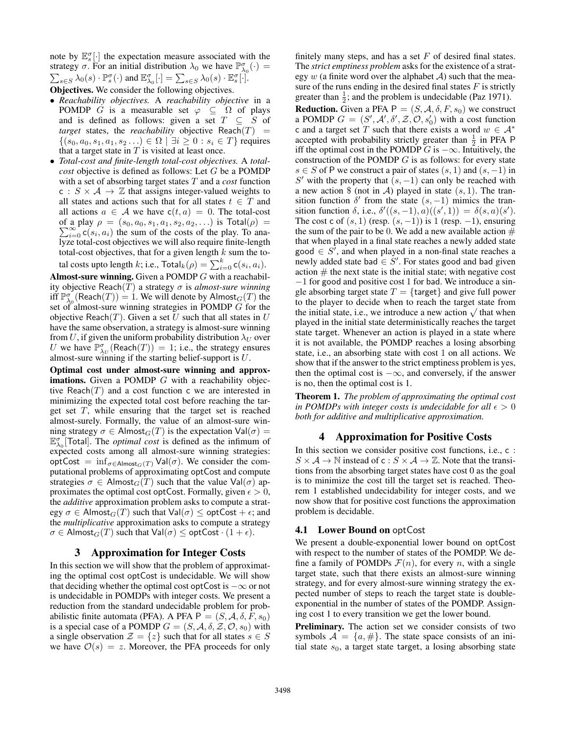note by  $\mathbb{E}_{s}^{\sigma}[\cdot]$  the expectation measure associated with the strategy  $\sigma$ . For an initial distribution  $\lambda_0$  we have  $\mathbb{P}^{\sigma}_{\lambda_0}(\cdot)$  = strategy b. For all finite distribution  $\lambda_0$  we have  $\mathbb{E}_{\lambda_0}$ <br>  $\sum_{s \in S} \lambda_0(s) \cdot \mathbb{P}_s^{\sigma}(\cdot)$  and  $\mathbb{E}_{\lambda_0}^{\sigma}[\cdot] = \sum_{s \in S} \lambda_0(s) \cdot \mathbb{E}_{s}^{\sigma}[\cdot]$ .

Objectives. We consider the following objectives.

- *Reachability objectives.* A *reachability objective* in a POMDP G is a measurable set  $\varphi \subseteq \Omega$  of plays and is defined as follows: given a set  $T \subseteq S$  of *target* states, the *reachability* objective Reach $(T)$  =  $\{(s_0, a_0, s_1, a_1, s_2, \ldots) \in \Omega \mid \exists i \geq 0 : s_i \in T\}$  requires that a target state in  $T$  is visited at least once.
- *Total-cost and finite-length total-cost objectives.* A *totalcost* objective is defined as follows: Let G be a POMDP with a set of absorbing target states T and a *cost* function c :  $S \times A \rightarrow \mathbb{Z}$  that assigns integer-valued weights to all states and actions such that for all states  $t \in T$  and all actions  $a \in \mathcal{A}$  we have  $c(t, a) = 0$ . The total-cost  $\sum_{i=0}^{\infty}$  c(s<sub>i</sub>, a<sub>i</sub>) the sum of the costs of the play. To anaof a play  $\rho = (s_0, a_0, s_1, a_1, s_2, a_2, ...)$  is  $\text{Total}(\rho) =$ lyze total-cost objectives we will also require finite-length total-cost objectives, that for a given length  $k$  sum the total costs upto length  $k$ ; i.e.,  $\textsf{Total}_k(\rho) = \sum_{i=0}^k \mathsf{c}(s_i, a_i)$ .

Almost-sure winning. Given a POMDP G with a reachability objective Reach(T) a strategy σ is *almost-sure winning* iff  $\mathbb{P}^{\sigma}_{\lambda_0}(\mathsf{Reach}(T)) = 1$ . We will denote by  $\mathsf{Almost}_G(T)$  the set of almost-sure winning strategies in POMDP G for the objective Reach $(T)$ . Given a set U such that all states in U have the same observation, a strategy is almost-sure winning from U, if given the uniform probability distribution  $\lambda_U$  over U we have  $\mathbb{P}^{\sigma}_{\lambda_U}(\text{Reach}(T)) = 1$ ; i.e., the strategy ensures almost-sure winning if the starting belief-support is U.

Optimal cost under almost-sure winning and approx**imations.** Given a POMDP  $G$  with a reachability objective Reach $(T)$  and a cost function c we are interested in minimizing the expected total cost before reaching the target set  $T$ , while ensuring that the target set is reached almost-surely. Formally, the value of an almost-sure winning strategy  $\sigma \in$  Almost $_G(T)$  is the expectation  $Val(\sigma) =$  $\mathbb{E}^{\sigma}_{\lambda_0}$ [Total]. The *optimal cost* is defined as the infimum of expected costs among all almost-sure winning strategies: optCost =  $\inf_{\sigma \in \text{Almost}_G(T)} \text{Val}(\sigma)$ . We consider the computational problems of approximating optCost and compute strategies  $\sigma \in$  Almost<sub>G</sub>(T) such that the value Val( $\sigma$ ) approximates the optimal cost optCost. Formally, given  $\epsilon > 0$ , the *additive* approximation problem asks to compute a strategy  $\sigma \in$  Almost $_G(T)$  such that  $Val(\sigma) \leq optCost + \epsilon$ ; and the *multiplicative* approximation asks to compute a strategy  $\sigma \in \mathsf{Almost}_{G}(T)$  such that  $\mathsf{Val}(\sigma) \leq \mathsf{optCost} \cdot (1 + \epsilon)$ .

## 3 Approximation for Integer Costs

In this section we will show that the problem of approximating the optimal cost optCost is undecidable. We will show that deciding whether the optimal cost optCost is  $-\infty$  or not is undecidable in POMDPs with integer costs. We present a reduction from the standard undecidable problem for probabilistic finite automata (PFA). A PFA  $P = (S, \mathcal{A}, \delta, F, s_0)$ is a special case of a POMDP  $G = (S, \mathcal{A}, \delta, \mathcal{Z}, \mathcal{O}, s_0)$  with a single observation  $\mathcal{Z} = \{z\}$  such that for all states  $s \in S$ we have  $\mathcal{O}(s) = z$ . Moreover, the PFA proceeds for only finitely many steps, and has a set  $F$  of desired final states. The *strict emptiness problem* asks for the existence of a strategy  $w$  (a finite word over the alphabet  $A$ ) such that the measure of the runs ending in the desired final states  $F$  is strictly greater than  $\frac{1}{2}$ ; and the problem is undecidable (Paz 1971).

**Reduction.** Given a PFA  $P = (S, A, \delta, F, s_0)$  we construct a POMDP  $G = (S', \mathcal{A}', \delta', \mathcal{Z}, \mathcal{O}, s'_0)$  with a cost function c and a target set  $T$  such that there exists a word  $w \in A^*$ accepted with probability strictly greater than  $\frac{1}{2}$  in PFA P iff the optimal cost in the POMDP G is  $-\infty$ . Intuitively, the construction of the POMDP  $G$  is as follows: for every state  $s \in S$  of P we construct a pair of states  $(s, 1)$  and  $(s, -1)$  in S' with the property that  $(s, -1)$  can only be reached with a new action \$ (not in A) played in state  $(s, 1)$ . The transition function  $\delta'$  from the state  $(s, -1)$  mimics the transition function  $\delta$ , i.e.,  $\delta'((s, -1), a)((s', 1)) = \delta(s, a)(s')$ . The cost c of  $(s, 1)$  (resp.  $(s, -1)$ ) is 1 (resp. -1), ensuring the sum of the pair to be 0. We add a new available action  $#$ that when played in a final state reaches a newly added state good  $\in S^7$ , and when played in a non-final state reaches a newly added state bad  $\in S'$ . For states good and bad given action  $#$  the next state is the initial state; with negative cost −1 for good and positive cost 1 for bad. We introduce a single absorbing target state  $T = \{ \text{target} \}$  and give full power to the player to decide when to reach the target state from to the player to declue when to reach the target state from<br>the initial state, i.e., we introduce a new action  $\sqrt{ }$  that when played in the initial state deterministically reaches the target state target. Whenever an action is played in a state where it is not available, the POMDP reaches a losing absorbing state, i.e., an absorbing state with cost 1 on all actions. We show that if the answer to the strict emptiness problem is yes, then the optimal cost is  $-\infty$ , and conversely, if the answer is no, then the optimal cost is 1.

Theorem 1. *The problem of approximating the optimal cost in POMDPs with integer costs is undecidable for all*  $\epsilon > 0$ *both for additive and multiplicative approximation.*

## 4 Approximation for Positive Costs

In this section we consider positive cost functions, i.e., c :  $S \times A \rightarrow \mathbb{N}$  instead of c :  $S \times A \rightarrow \mathbb{Z}$ . Note that the transitions from the absorbing target states have cost 0 as the goal is to minimize the cost till the target set is reached. Theorem 1 established undecidability for integer costs, and we now show that for positive cost functions the approximation problem is decidable.

#### 4.1 Lower Bound on optCost

We present a double-exponential lower bound on optCost with respect to the number of states of the POMDP. We define a family of POMDPs  $\mathcal{F}(n)$ , for every n, with a single target state, such that there exists an almost-sure winning strategy, and for every almost-sure winning strategy the expected number of steps to reach the target state is doubleexponential in the number of states of the POMDP. Assigning cost 1 to every transition we get the lower bound.

Preliminary. The action set we consider consists of two symbols  $A = \{a, \# \}$ . The state space consists of an initial state  $s_0$ , a target state target, a losing absorbing state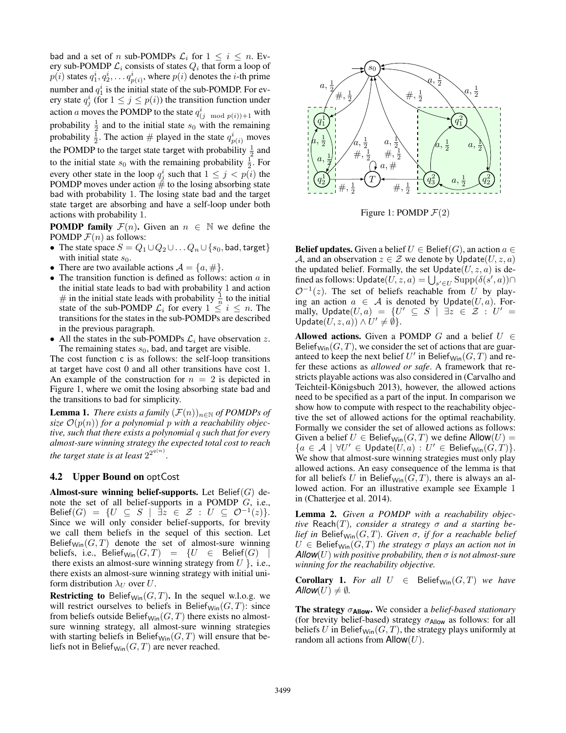bad and a set of n sub-POMDPs  $\mathcal{L}_i$  for  $1 \leq i \leq n$ . Every sub-POMDP  $\mathcal{L}_i$  consists of states  $Q_i$  that form a loop of  $p(i)$  states  $q_1^i, q_2^i, \ldots q_{p(i)}^i$ , where  $p(i)$  denotes the *i*-th prime number and  $q_1^i$  is the initial state of the sub-POMDP. For every state  $q_j^i$  (for  $1 \le j \le p(i)$ ) the transition function under action *a* moves the POMDP to the state  $q_{(j \mod p(i))+1}^i$  with probability  $\frac{1}{2}$  and to the initial state  $s_0$  with the remaining probability  $\frac{1}{2}$ . The action  $\#$  played in the state  $q_{p(i)}^i$  moves the POMDP to the target state target with probability  $\frac{1}{2}$  and to the initial state  $s_0$  with the remaining probability  $\frac{1}{2}$ . For every other state in the loop  $q_j^i$  such that  $1 \leq j < p(i)$  the POMDP moves under action  $\#$  to the losing absorbing state bad with probability 1. The losing state bad and the target state target are absorbing and have a self-loop under both actions with probability 1.

**POMDP family**  $\mathcal{F}(n)$ . Given an  $n \in \mathbb{N}$  we define the POMDP  $\mathcal{F}(n)$  as follows:

- The state space  $S = Q_1 \cup Q_2 \cup \ldots Q_n \cup \{s_0, \text{bad}, \text{target}\}\$ with initial state  $s_0$ .
- There are two available actions  $\mathcal{A} = \{a, \# \}.$
- The transition function is defined as follows: action  $\alpha$  in the initial state leads to bad with probability 1 and action # in the initial state leads with probability  $\frac{1}{n}$  to the initial state of the sub-POMDP  $\mathcal{L}_i$  for every  $1 \leq i \leq n$ . The transitions for the states in the sub-POMDPs are described in the previous paragraph.
- All the states in the sub-POMDPs  $\mathcal{L}_i$  have observation z. The remaining states  $s_0$ , bad, and target are visible.

The cost function c is as follows: the self-loop transitions at target have cost 0 and all other transitions have cost 1. An example of the construction for  $n = 2$  is depicted in Figure 1, where we omit the losing absorbing state bad and the transitions to bad for simplicity.

**Lemma 1.** *There exists a family*  $(\mathcal{F}(n))_{n\in\mathbb{N}}$  *of POMDPs of* size  $\mathcal{O}(p(n))$  for a polynomial p with a reachability objec*tive, such that there exists a polynomial* q *such that for every almost-sure winning strategy the expected total cost to reach the target state is at least*  $2^{2^{q(n)}}$ *.* 

## 4.2 Upper Bound on optCost

Almost-sure winning belief-supports. Let  $Belief(G)$  denote the set of all belief-supports in a POMDP G, i.e., Belief $(G) = \{U \subseteq S \mid \exists z \in \mathcal{Z} : U \subseteq \mathcal{O}^{-1}(z)\}.$ Since we will only consider belief-supports, for brevity we call them beliefs in the sequel of this section. Let Belief<sub>Win</sub> $(G, T)$  denote the set of almost-sure winning beliefs, i.e., Belief<sub>Win</sub> $(G, T) = \{U \in$  Belief $(G)$ there exists an almost-sure winning strategy from  $U$  }, i.e., there exists an almost-sure winning strategy with initial uniform distribution  $\lambda_U$  over U.

**Restricting to** Belief<sub>Win</sub> $(G, T)$ . In the sequel w.l.o.g. we will restrict ourselves to beliefs in Belief<sub>Win</sub> $(G, T)$ : since from beliefs outside Belief<sub>Win</sub> $(G, T)$  there exists no almostsure winning strategy, all almost-sure winning strategies with starting beliefs in Belief<sub>Win</sub> $(G, T)$  will ensure that beliefs not in Belief<sub>Win</sub> $(G, T)$  are never reached.



Figure 1: POMDP  $\mathcal{F}(2)$ 

**Belief updates.** Given a belief  $U \in$  Belief(G), an action  $a \in$ A, and an observation  $z \in \mathcal{Z}$  we denote by  $\hat{\mathsf{Update}}(U, z, a)$ the updated belief. Formally, the set  $Update(U, z, a)$  is defined as follows:  $\mathsf{Update}(U, z, a) = \bigcup_{s' \in U} \mathrm{Supp}(\delta(s', a)) \cap$  $\mathcal{O}^{-1}(z)$ . The set of beliefs reachable from U by playing an action  $a \in A$  is denoted by Update(U, a). Formally,  $\mathsf{Update}(U, a) \;=\; \{U' \;\subseteq\; S\;\mid\; \exists z \;\in\; \mathcal{Z} \;:\; U' \;=\; \; \}$ Update $(U, z, a)) \wedge U' \neq \emptyset$ .

Allowed actions. Given a POMDP G and a belief  $U \in$ Belief<sub>Win</sub> $(G, T)$ , we consider the set of actions that are guaranteed to keep the next belief U' in Belief<sub>Win</sub>( $G, T$ ) and refer these actions as *allowed or safe*. A framework that restricts playable actions was also considered in (Carvalho and Teichteil-Königsbuch 2013), however, the allowed actions need to be specified as a part of the input. In comparison we show how to compute with respect to the reachability objective the set of allowed actions for the optimal reachability. Formally we consider the set of allowed actions as follows: Given a belief  $U \in \text{Belief}_{\text{Win}}(G, T)$  we define  $\text{Allow}(U) =$  $\{a \in \mathcal{A} \mid \forall U' \in \mathsf{Update}(U,a) : U' \in \mathsf{Belief}_{\mathsf{Win}}(G,T)\}.$ We show that almost-sure winning strategies must only play allowed actions. An easy consequence of the lemma is that for all beliefs U in Belief<sub>Win</sub> $(G, T)$ , there is always an allowed action. For an illustrative example see Example 1 in (Chatterjee et al. 2014).

Lemma 2. *Given a POMDP with a reachability objective* Reach(T), consider a strategy  $\sigma$  and a starting be*lief in* Belief<sub>Win</sub> $(G, T)$ *. Given*  $\sigma$ *, if for a reachable belief*  $U \in \text{Belief}_{\text{Win}}(G, T)$  *the strategy*  $\sigma$  *plays an action not in*  $\mathsf{Allow}(U)$  with positive probability, then  $\sigma$  is not almost-sure *winning for the reachability objective.*

Corollary 1. For all  $U \in$  Belief<sub>Win</sub> $(G, T)$  we have *Allow* $(U) \neq \emptyset$ *.* 

The strategy σ**Allow**. We consider a *belief-based stationary* (for brevity belief-based) strategy  $\sigma_{\text{Allow}}$  as follows: for all beliefs U in Belief<sub>Win</sub> $(G, T)$ , the strategy plays uniformly at random all actions from  $\mathsf{Allow}(U)$ .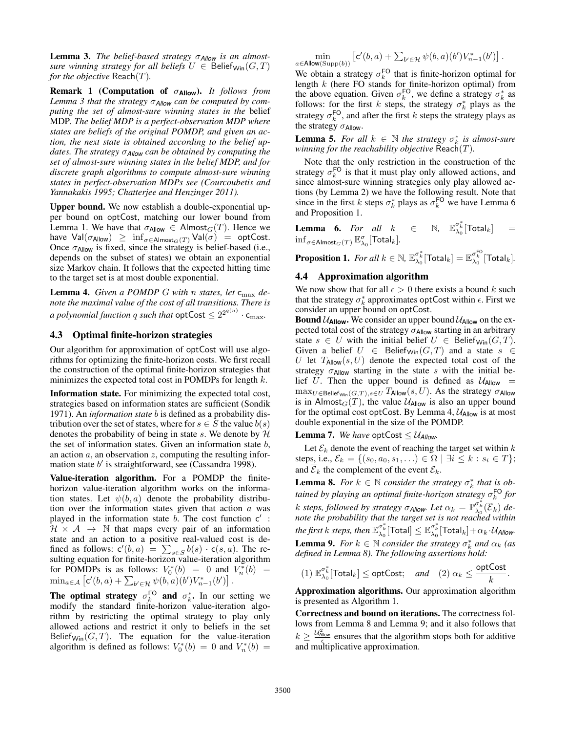Lemma 3. *The belief-based strategy* σ*Allow is an almostsure winning strategy for all beliefs*  $U \in$  Belief<sub>Win</sub> $(G, T)$ *for the objective* Reach(T)*.*

Remark 1 (Computation of σ**Allow**). *It follows from Lemma 3 that the strategy* σ*Allow can be computed by computing the set of almost-sure winning states in the* belief MDP*. The belief MDP is a perfect-observation MDP where states are beliefs of the original POMDP, and given an action, the next state is obtained according to the belief updates. The strategy* σ*Allow can be obtained by computing the set of almost-sure winning states in the belief MDP, and for discrete graph algorithms to compute almost-sure winning states in perfect-observation MDPs see (Courcoubetis and Yannakakis 1995; Chatterjee and Henzinger 2011).*

Upper bound. We now establish a double-exponential upper bound on optCost, matching our lower bound from Lemma 1. We have that  $\sigma_{\text{Allow}} \in \text{Almost}_G(T)$ . Hence we have  $Val(\sigma_{Allow}) \geq \inf_{\sigma \in Allmost_G(T)} Val(\sigma) = optCost.$ Once  $\sigma_{\text{Allow}}$  is fixed, since the strategy is belief-based (i.e., depends on the subset of states) we obtain an exponential size Markov chain. It follows that the expected hitting time to the target set is at most double exponential.

Lemma 4. *Given a POMDP G with n states, let*  $c_{\text{max}}$  *denote the maximal value of the cost of all transitions. There is a polynomial function q such that*  $\mathsf{optCost} \leq 2^{2^{q(n)}} \cdot \mathsf{c}_{\max}$ .

## 4.3 Optimal finite-horizon strategies

Our algorithm for approximation of optCost will use algorithms for optimizing the finite-horizon costs. We first recall the construction of the optimal finite-horizon strategies that minimizes the expected total cost in POMDPs for length  $k$ .

Information state. For minimizing the expected total cost, strategies based on information states are sufficient (Sondik 1971). An *information state* b is defined as a probability distribution over the set of states, where for  $s \in S$  the value  $b(s)$ denotes the probability of being in state s. We denote by  $H$ the set of information states. Given an information state  $b$ , an action  $a$ , an observation  $z$ , computing the resulting information state  $b'$  is straightforward, see (Cassandra 1998).

Value-iteration algorithm. For a POMDP the finitehorizon value-iteration algorithm works on the information states. Let  $\psi(b, a)$  denote the probability distribution over the information states given that action  $a$  was played in the information state  $b$ . The cost function  $c'$ :  $H \times A \rightarrow \mathbb{N}$  that maps every pair of an information state and an action to a positive real-valued cost is defined as follows:  $c'(b, a) = \sum_{s \in S} b(s) \cdot c(s, a)$ . The resulting equation for finite-horizon value-iteration algorithm for POMDPs is as follows:  $V_0^*(b) = 0$  and  $V_n^*(b) =$  $\min_{a \in \mathcal{A}} \left[ \mathsf{c}'(b, a) + \sum_{b' \in \mathcal{H}} \psi(b, a)(b') V_{n-1}^*(b') \right].$ 

The optimal strategy  $\sigma_k^{\text{FO}}$  and  $\sigma_k^*$ . In our setting we modify the standard finite-horizon value-iteration algorithm by restricting the optimal strategy to play only allowed actions and restrict it only to beliefs in the set Belief<sub>Win</sub> $(G, T)$ . The equation for the value-iteration algorithm is defined as follows:  $V_0^*(b) = 0$  and  $V_n^*(b) =$ 

$$
\min_{a \in \text{Allow}(\text{Supp}(b))} \left[ \mathsf{c}'(b, a) + \sum_{b' \in \mathcal{H}} \psi(b, a)(b') V_{n-1}^*(b') \right].
$$

We obtain a strategy  $\sigma_k^{\text{FO}}$  that is finite-horizon optimal for length k (here FO stands for finite-horizon optimal) from the above equation. Given  $\sigma_k^{\text{FO}}$ , we define a strategy  $\sigma_k^*$  as follows: for the first k steps, the strategy  $\sigma_k^*$  plays as the strategy  $\sigma_k^{\text{FO}}$ , and after the first k steps the strategy plays as the strategy  $\sigma$ Allow.

**Lemma 5.** For all  $k \in \mathbb{N}$  the strategy  $\sigma_k^*$  is almost-sure *winning for the reachability objective* Reach(T)*.*

Note that the only restriction in the construction of the strategy  $\sigma_k^{\text{FO}}$  is that it must play only allowed actions, and since almost-sure winning strategies only play allowed actions (by Lemma 2) we have the following result. Note that since in the first k steps  $\sigma_k^*$  plays as  $\sigma_k^{\text{FO}}$  we have Lemma 6 and Proposition 1.

**Lemma 6.** For all  $k \in \mathbb{N}$ ,  $\mathbb{E}_{\lambda_0}^{\sigma_k^*}$  [Total<sub>k</sub>] =  $\inf_{\sigma \in \mathsf{Almost}_G(T)} \mathbb{E}_{\lambda_0}^{\sigma}[\mathsf{Total}_k].$ 

 $\textbf{Proposition 1. } \textit{For all } k \in \mathbb{N}, \, \mathbb{E}_{\lambda_0}^{\sigma_k^*}[\text{Total}_k] = \mathbb{E}_{\lambda_0}^{\sigma_k^{\text{FO}}}[\text{Total}_k].$ 

#### 4.4 Approximation algorithm

We now show that for all  $\epsilon > 0$  there exists a bound k such that the strategy  $\sigma_k^*$  approximates optCost within  $\epsilon$ . First we consider an upper bound on optCost.

**Bound**  $U_{\text{Allow}}$ **.** We consider an upper bound  $U_{\text{Allow}}$  on the expected total cost of the strategy  $\sigma_{\text{Allow}}$  starting in an arbitrary state  $s \in U$  with the initial belief  $U \in \text{Belief}_{\text{Win}}(G, T)$ . Given a belief  $U \in$  Belief<sub>Win</sub> $(G, T)$  and a state  $s \in$ U let  $T_{\text{Allow}}(s, U)$  denote the expected total cost of the strategy  $\sigma_{\text{Allow}}$  starting in the state s with the initial belief U. Then the upper bound is defined as  $U_{\text{Allow}}$  =  $\max_{U\in\mathsf{Belief}_{\mathsf{Win}}(G,T),s\in U}\mathit{T}_\mathsf{Allow}(s,U).$  As the strategy  $\sigma_\mathsf{Allow}$ is in Almost $_G(T)$ , the value  $\mathcal{U}_{\text{Allow}}$  is also an upper bound for the optimal cost optCost. By Lemma 4,  $U_{\text{Allow}}$  is at most double exponential in the size of the POMDP.

**Lemma 7.** We have optCost  $\leq U_{\text{Allow}}$ .

Let  $\mathcal{E}_k$  denote the event of reaching the target set within  $k$ steps, i.e.,  $\mathcal{E}_k = \{(s_0, a_0, s_1, \ldots) \in \Omega \mid \exists i \leq k : s_i \in T\};\$ and  $\overline{\mathcal{E}}_k$  the complement of the event  $\mathcal{E}_k$ .

**Lemma 8.** *For*  $k \in \mathbb{N}$  *consider the strategy*  $\sigma_k^*$  *that is obtained by playing an optimal finite-horizon strategy* σ FO k *for* k steps, followed by strategy  $\sigma_{\text{Allow}}$ *. Let*  $\alpha_k = \mathbb{P}^{\sigma_k^*}_{\lambda_0}(\overline{\mathcal{E}}_k)$  de*note the probability that the target set is not reached within*  $\mathit{the\, first\, k\, steps, \, then\, \mathbb{E}^{\sigma_k^*}_{\lambda_0}[\text{Total}]\leq \mathbb{E}^{\sigma_k^*}_{\lambda_0}[\text{Total}_k]+\alpha_k\!\cdot\! \mathcal{U}_{\textit{Allow}}.}$ **Lemma 9.** *For*  $k \in \mathbb{N}$  *consider the strategy*  $\sigma_k^*$  *and*  $\alpha_k$  *(as defined in Lemma 8). The following assertions hold:*

$$
(1) \ \mathbb{E}_{\lambda_0}^{\sigma_k^*}[\text{Total}_k] \leq \text{optCost}; \quad \text{and} \quad (2) \ \alpha_k \leq \frac{\text{optCost}}{k}.
$$

Approximation algorithms. Our approximation algorithm is presented as Algorithm 1.

Correctness and bound on iterations. The correctness follows from Lemma 8 and Lemma 9; and it also follows that  $k \geq \frac{u_{\text{allow}}^2}{\epsilon}$  ensures that the algorithm stops both for additive and multiplicative approximation.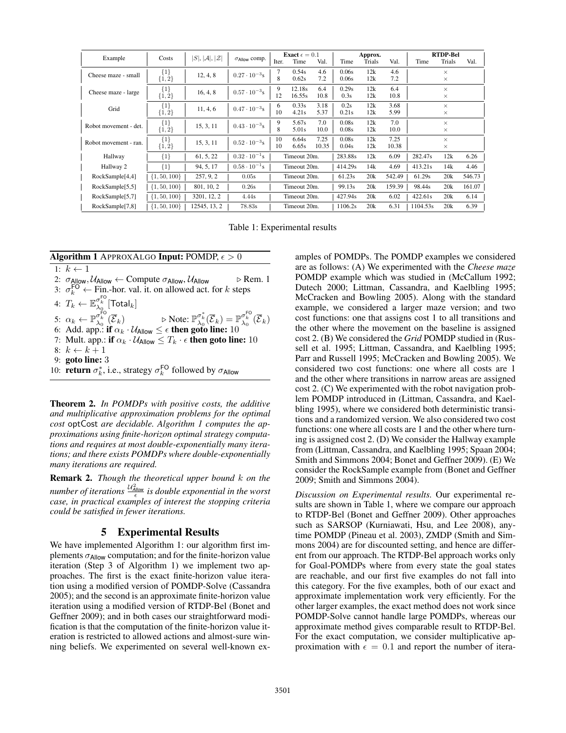| Example               | Costs                | $ S ,  \mathcal{A} ,  \mathcal{Z} $ | $\sigma$ Allow COMP.   | <b>Exact</b> $\epsilon = 0.1$ |        |       | Approx. |        |        | <b>RTDP-Bel</b> |          |        |
|-----------------------|----------------------|-------------------------------------|------------------------|-------------------------------|--------|-------|---------|--------|--------|-----------------|----------|--------|
|                       |                      |                                     |                        | Iter.                         | Time   | Val.  | Time    | Trials | Val.   | Time            | Trials   | Val.   |
| Cheese maze - small   | $\{1\}$<br>$\{1,2\}$ | 12, 4, 8                            | $0.27 \cdot 10^{-3}$ s |                               | 0.54s  | 4.6   | 0.06s   | 12k    | 4.6    |                 | $\times$ |        |
|                       |                      |                                     |                        | 8                             | 0.62s  | 7.2   | 0.06s   | 12k    | 7.2    |                 | $\times$ |        |
| Cheese maze - large   | ${1}$<br>${1, 2}$    | 16, 4, 8                            | $0.57 \cdot 10^{-3}$ s | 9                             | 12.18s | 6.4   | 0.29s   | 12k    | 6.4    |                 | $\times$ |        |
|                       |                      |                                     |                        | 12                            | 16.55s | 10.8  | 0.3s    | 12k    | 10.8   |                 | $\times$ |        |
| Grid                  | ${1}$<br>$\{1,2\}$   | 11, 4, 6                            | $0.47 \cdot 10^{-3}$ s | 6                             | 0.33s  | 3.18  | 0.2s    | 12k    | 3.68   |                 | $\times$ |        |
|                       |                      |                                     |                        | 10                            | 4.21s  | 5.37  | 0.21s   | 12k    | 5.99   |                 | $\times$ |        |
| Robot movement - det. | $\{1\}$<br>$\{1,2\}$ | 15, 3, 11                           | $0.43 \cdot 10^{-3}$ s | 9                             | 5.67s  | 7.0   | 0.08s   | 12k    | 7.0    |                 | $\times$ |        |
|                       |                      |                                     |                        | 8                             | 5.01s  | 10.0  | 0.08s   | 12k    | 10.0   |                 | $\times$ |        |
| Robot movement - ran. | ${1}$<br>${1, 2}$    | 15, 3, 11                           | $0.52 \cdot 10^{-3}$ s | 10                            | 6.64s  | 7.25  | 0.08s   | 12k    | 7.25   |                 | $\times$ |        |
|                       |                      |                                     |                        | 10                            | 6.65s  | 10.35 | 0.04s   | 12k    | 10.38  |                 | $\times$ |        |
| Hallway               | ${1}$                | 61, 5, 22                           | $0.32 \cdot 10^{-1}$ s | Timeout 20m.                  |        |       | 283.88s | 12k    | 6.09   | 282.47s         | 12k      | 6.26   |
| Hallway 2             | ${1}$                | 94, 5, 17                           | $0.58 \cdot 10^{-1}$ s | Timeout 20m.                  |        |       | 414.29s | 14k    | 4.69   | 413.21s         | 14k      | 4.46   |
| RockSample[4,4]       | $\{1, 50, 100\}$     | 257, 9, 2                           | 0.05s                  | Timeout 20m.                  |        |       | 61.23s  | 20k    | 542.49 | 61.29s          | 20k      | 546.73 |
| RockSample[5,5]       | $\{1, 50, 100\}$     | 801, 10, 2                          | 0.26s                  | Timeout 20m.                  |        |       | 99.13s  | 20k    | 159.39 | 98.44s          | 20k      | 161.07 |
| RockSample[5,7]       | $\{1, 50, 100\}$     | 3201, 12, 2                         | 4.44s                  | Timeout 20m.                  |        |       | 427.94s | 20k    | 6.02   | 422.61s         | 20k      | 6.14   |
| RockSample[7,8]       | $\{1, 50, 100\}$     | 12545, 13, 2                        | 78.83s                 | Timeout 20m.                  |        |       | 1106.2s | 20k    | 6.31   | 1104.53s        | 20k      | 6.39   |

Table 1: Experimental results



Theorem 2. *In POMDPs with positive costs, the additive and multiplicative approximation problems for the optimal cost* optCost *are decidable. Algorithm 1 computes the approximations using finite-horizon optimal strategy computations and requires at most double-exponentially many iterations; and there exists POMDPs where double-exponentially many iterations are required.*

Remark 2. *Though the theoretical upper bound* k *on the number of iterations*  $\frac{u_{\text{Aloow}}^2}{\epsilon}$  is double exponential in the worst *case, in practical examples of interest the stopping criteria could be satisfied in fewer iterations.*

## 5 Experimental Results

We have implemented Algorithm 1: our algorithm first implements  $\sigma_{\text{Allow}}$  computation; and for the finite-horizon value iteration (Step 3 of Algorithm 1) we implement two approaches. The first is the exact finite-horizon value iteration using a modified version of POMDP-Solve (Cassandra 2005); and the second is an approximate finite-horizon value iteration using a modified version of RTDP-Bel (Bonet and Geffner 2009); and in both cases our straightforward modification is that the computation of the finite-horizon value iteration is restricted to allowed actions and almost-sure winning beliefs. We experimented on several well-known ex-

amples of POMDPs. The POMDP examples we considered are as follows: (A) We experimented with the *Cheese maze* POMDP example which was studied in (McCallum 1992; Dutech 2000; Littman, Cassandra, and Kaelbling 1995; McCracken and Bowling 2005). Along with the standard example, we considered a larger maze version; and two cost functions: one that assigns cost 1 to all transitions and the other where the movement on the baseline is assigned cost 2. (B) We considered the *Grid* POMDP studied in (Russell et al. 1995; Littman, Cassandra, and Kaelbling 1995; Parr and Russell 1995; McCracken and Bowling 2005). We considered two cost functions: one where all costs are 1 and the other where transitions in narrow areas are assigned cost 2. (C) We experimented with the robot navigation problem POMDP introduced in (Littman, Cassandra, and Kaelbling 1995), where we considered both deterministic transitions and a randomized version. We also considered two cost functions: one where all costs are 1 and the other where turning is assigned cost 2. (D) We consider the Hallway example from (Littman, Cassandra, and Kaelbling 1995; Spaan 2004; Smith and Simmons 2004; Bonet and Geffner 2009). (E) We consider the RockSample example from (Bonet and Geffner 2009; Smith and Simmons 2004).

*Discussion on Experimental results.* Our experimental results are shown in Table 1, where we compare our approach to RTDP-Bel (Bonet and Geffner 2009). Other approaches such as SARSOP (Kurniawati, Hsu, and Lee 2008), anytime POMDP (Pineau et al. 2003), ZMDP (Smith and Simmons 2004) are for discounted setting, and hence are different from our approach. The RTDP-Bel approach works only for Goal-POMDPs where from every state the goal states are reachable, and our first five examples do not fall into this category. For the five examples, both of our exact and approximate implementation work very efficiently. For the other larger examples, the exact method does not work since POMDP-Solve cannot handle large POMDPs, whereas our approximate method gives comparable result to RTDP-Bel. For the exact computation, we consider multiplicative approximation with  $\epsilon = 0.1$  and report the number of itera